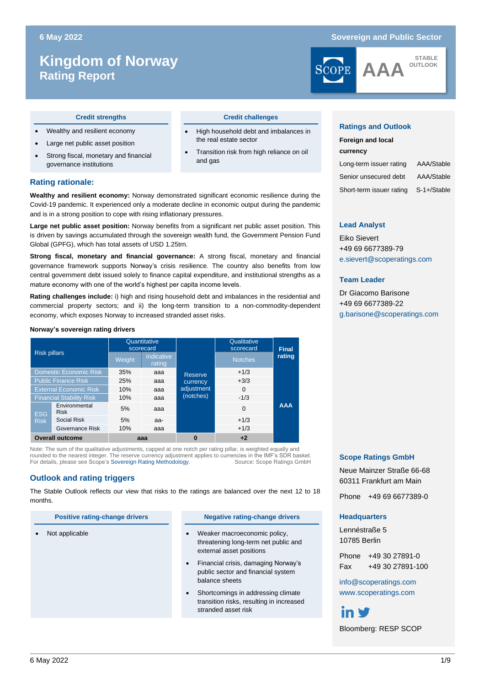# **Kingdom of Norway Rating Report**

### **6 May 2022 Sovereign and Public Sector**



#### **Credit strengths Credit challenges**

- Wealthy and resilient economy
- Large net public asset position
- Strong fiscal, monetary and financial governance institutions

#### **Rating rationale:**

**Wealthy and resilient economy:** Norway demonstrated significant economic resilience during the Covid-19 pandemic. It experienced only a moderate decline in economic output during the pandemic and is in a strong position to cope with rising inflationary pressures.

**Large net public asset position:** Norway benefits from a significant net public asset position. This is driven by savings accumulated through the sovereign wealth fund, the Government Pension Fund Global (GPFG), which has total assets of USD 1.25trn.

**Strong fiscal, monetary and financial governance:** A strong fiscal, monetary and financial governance framework supports Norway's crisis resilience. The country also benefits from low central government debt issued solely to finance capital expenditure, and institutional strengths as a mature economy with one of the world's highest per capita income levels.

**Rating challenges include:** i) high and rising household debt and imbalances in the residential and commercial property sectors; and ii) the long-term transition to a non-commodity-dependent economy, which exposes Norway to increased stranded asset risks.

#### **Norway's sovereign rating drivers**

| <b>Risk pillars</b>             |                              |        | Quantitative<br>scorecard |            | Qualitative<br>scorecard | <b>Final</b> |  |
|---------------------------------|------------------------------|--------|---------------------------|------------|--------------------------|--------------|--|
|                                 |                              | Weight | Indicative<br>rating      |            | <b>Notches</b>           | rating       |  |
| <b>Domestic Economic Risk</b>   |                              | 35%    | aaa                       | Reserve    | $+1/3$                   |              |  |
| <b>Public Finance Risk</b>      |                              | 25%    | aaa                       | currency   | $+3/3$                   |              |  |
| <b>External Economic Risk</b>   |                              | 10%    | aaa                       | adjustment | $\Omega$                 |              |  |
| <b>Financial Stability Risk</b> |                              | 10%    | aaa                       | (notches)  | $-1/3$                   |              |  |
| ESG                             | Environmental<br><b>Risk</b> | 5%     | aaa                       |            | $\Omega$                 | <b>AAA</b>   |  |
| <b>Risk</b>                     | Social Risk                  | 5%     | aa-                       |            | $+1/3$                   |              |  |
|                                 | Governance Risk              | 10%    | aaa                       |            | $+1/3$                   |              |  |
| <b>Overall outcome</b>          |                              | aaa    |                           | 0          | $+2$                     |              |  |

Note: The sum of the qualitative adjustments, capped at one notch per rating pillar, is weighted equally and rounded to the nearest integer. The reserve currency adjustment applies to currencies in the IMF's SDR basket.<br>For details, please see Scope's Sovereign Rating Methodology. Source: Scope Ratings GmbH For details, please see Scope's Sovereign Rating Methodology.

### **Outlook and rating triggers**

The Stable Outlook reflects our view that risks to the ratings are balanced over the next 12 to 18 months.

#### **Positive rating-change drivers Negative rating-change drivers**

• High household debt and imbalances in

• Transition risk from high reliance on oil

the real estate sector

and gas

- Not applicable **•** Weaker macroeconomic policy, threatening long-term net public and external asset positions
	- Financial crisis, damaging Norway's public sector and financial system balance sheets
	- Shortcomings in addressing climate transition risks, resulting in increased stranded asset risk

#### **Ratings and Outlook**

| <b>Foreign and local</b> |             |  |  |  |  |  |  |
|--------------------------|-------------|--|--|--|--|--|--|
| currency                 |             |  |  |  |  |  |  |
| Long-term issuer rating  | AAA/Stable  |  |  |  |  |  |  |
| Senior unsecured debt    | AAA/Stable  |  |  |  |  |  |  |
| Short-term issuer rating | S-1+/Stable |  |  |  |  |  |  |

#### **Lead Analyst**

Eiko Sievert +49 69 6677389-79 e.sievert@scoperatings.com

#### **Team Leader**

Dr Giacomo Barisone +49 69 6677389-22 [g.barisone@scoperatings.com](mailto:g.barisone@scoperatings.com)

### **Scope Ratings GmbH**

Neue Mainzer Straße 66-68 60311 Frankfurt am Main

Phone +49 69 6677389-0

#### **Headquarters**

Lennéstraße 5 10785 Berlin

Phone +49 30 27891-0 Fax +49 30 27891-100

[info@scoperatings.com](mailto:info@scoperatings.com) [www.scoperatings.com](http://www.scoperatings.com/)

# in ₩

Bloomberg: RESP SCOP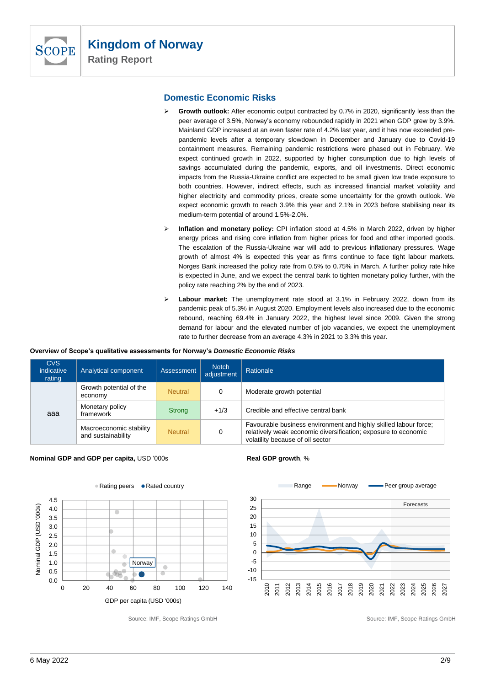

# **Domestic Economic Risks**

- ➢ **Growth outlook:** After economic output contracted by 0.7% in 2020, significantly less than the peer average of 3.5%, Norway's economy rebounded rapidly in 2021 when GDP grew by 3.9%. Mainland GDP increased at an even faster rate of 4.2% last year, and it has now exceeded prepandemic levels after a temporary slowdown in December and January due to Covid-19 containment measures. Remaining pandemic restrictions were phased out in February. We expect continued growth in 2022, supported by higher consumption due to high levels of savings accumulated during the pandemic, exports, and oil investments. Direct economic impacts from the Russia-Ukraine conflict are expected to be small given low trade exposure to both countries. However, indirect effects, such as increased financial market volatility and higher electricity and commodity prices, create some uncertainty for the growth outlook. We expect economic growth to reach 3.9% this year and 2.1% in 2023 before stabilising near its medium-term potential of around 1.5%-2.0%.
- ➢ **Inflation and monetary policy:** CPI inflation stood at 4.5% in March 2022, driven by higher energy prices and rising core inflation from higher prices for food and other imported goods. The escalation of the Russia-Ukraine war will add to previous inflationary pressures. Wage growth of almost 4% is expected this year as firms continue to face tight labour markets. Norges Bank increased the policy rate from 0.5% to 0.75% in March. A further policy rate hike is expected in June, and we expect the central bank to tighten monetary policy further, with the policy rate reaching 2% by the end of 2023.
- ➢ **Labour market:** The unemployment rate stood at 3.1% in February 2022, down from its pandemic peak of 5.3% in August 2020. Employment levels also increased due to the economic rebound, reaching 69.4% in January 2022, the highest level since 2009. Given the strong demand for labour and the elevated number of job vacancies, we expect the unemployment rate to further decrease from an average 4.3% in 2021 to 3.3% this year.

#### **Overview of Scope's qualitative assessments for Norway's** *Domestic Economic Risks*

| <b>CVS</b><br>indicative<br>rating | Analytical component                          | <b>Assessment</b> | <b>Notch</b><br>adiustment | Rationale                                                                                                                                                              |
|------------------------------------|-----------------------------------------------|-------------------|----------------------------|------------------------------------------------------------------------------------------------------------------------------------------------------------------------|
|                                    | Growth potential of the<br>economy            | <b>Neutral</b>    | 0                          | Moderate growth potential                                                                                                                                              |
| aaa                                | Monetary policy<br>framework                  | <b>Strong</b>     | $+1/3$                     | Credible and effective central bank                                                                                                                                    |
|                                    | Macroeconomic stability<br>and sustainability | <b>Neutral</b>    | 0                          | Favourable business environment and highly skilled labour force;<br>relatively weak economic diversification; exposure to economic<br>volatility because of oil sector |

#### **Nominal GDP and GDP per capita, USD '000s <b>Real GDP growth, %**



Source: IMF, Scope Ratings GmbH Source: IMF, Scope Ratings GmbH Source: IMF, Scope Ratings GmbH



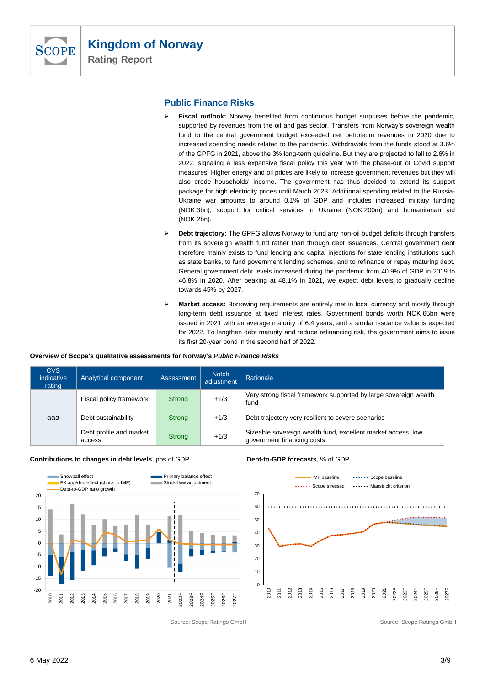

# **Public Finance Risks**

- ➢ **Fiscal outlook:** Norway benefited from continuous budget surpluses before the pandemic, supported by revenues from the oil and gas sector. Transfers from Norway's sovereign wealth fund to the central government budget exceeded net petroleum revenues in 2020 due to increased spending needs related to the pandemic. Withdrawals from the funds stood at 3.6% of the GPFG in 2021, above the 3% long-term guideline. But they are projected to fall to 2.6% in 2022, signaling a less expansive fiscal policy this year with the phase-out of Covid support measures. Higher energy and oil prices are likely to increase government revenues but they will also erode households' income. The government has thus decided to extend its support package for high electricity prices until March 2023. Additional spending related to the Russia-Ukraine war amounts to around 0.1% of GDP and includes increased military funding (NOK 3bn), support for critical services in Ukraine (NOK 200m) and humanitarian aid (NOK 2bn).
- ➢ **Debt trajectory:** The GPFG allows Norway to fund any non-oil budget deficits through transfers from its sovereign wealth fund rather than through debt issuances. Central government debt therefore mainly exists to fund lending and capital injections for state lending institutions such as state banks, to fund government lending schemes, and to refinance or repay maturing debt. General government debt levels increased during the pandemic from 40.9% of GDP in 2019 to 46.8% in 2020. After peaking at 48.1% in 2021, we expect debt levels to gradually decline towards 45% by 2027.
- ➢ **Market access:** Borrowing requirements are entirely met in local currency and mostly through long-term debt issuance at fixed interest rates. Government bonds worth NOK 65bn were issued in 2021 with an average maturity of 6.4 years, and a similar issuance value is expected for 2022. To lengthen debt maturity and reduce refinancing risk, the government aims to issue its first 20-year bond in the second half of 2022.

#### **Overview of Scope's qualitative assessments for Norway's** *Public Finance Risks*

| <b>CVS</b><br>indicative<br>rating | Analytical component              | Assessment    | <b>Notch</b><br>adjustment | Rationale                                                                                  |
|------------------------------------|-----------------------------------|---------------|----------------------------|--------------------------------------------------------------------------------------------|
| aaa                                | Fiscal policy framework<br>Strong |               | $+1/3$                     | Very strong fiscal framework supported by large sovereign wealth<br>fund                   |
|                                    | Debt sustainability               | Strong        | $+1/3$                     | Debt trajectory very resilient to severe scenarios                                         |
|                                    | Debt profile and market<br>access | <b>Strong</b> | $+1/3$                     | Sizeable sovereign wealth fund, excellent market access, low<br>government financing costs |

#### **Contributions to changes in debt levels**, pps of GDP **Debt-to-GDP forecasts**, % of GDP





Source: Scope Ratings GmbH Source: Scope Ratings GmbH Source: Scope Ratings GmbH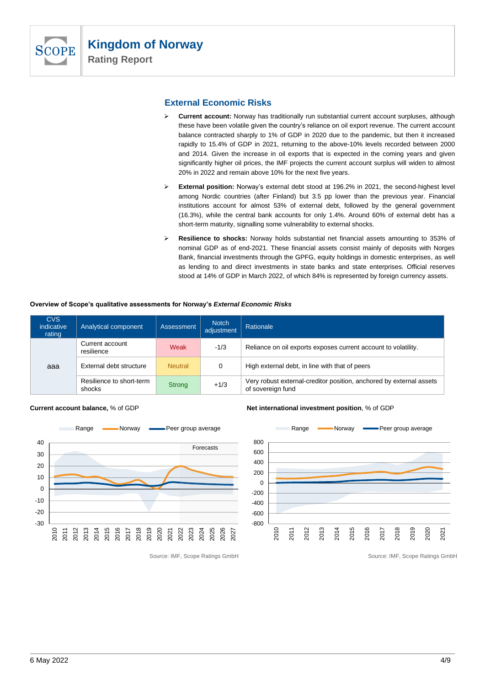

**Rating Report**

# **External Economic Risks**

- ➢ **Current account:** Norway has traditionally run substantial current account surpluses, although these have been volatile given the country's reliance on oil export revenue. The current account balance contracted sharply to 1% of GDP in 2020 due to the pandemic, but then it increased rapidly to 15.4% of GDP in 2021, returning to the above-10% levels recorded between 2000 and 2014. Given the increase in oil exports that is expected in the coming years and given significantly higher oil prices, the IMF projects the current account surplus will widen to almost 20% in 2022 and remain above 10% for the next five years.
- ➢ **External position:** Norway's external debt stood at 196.2% in 2021, the second-highest level among Nordic countries (after Finland) but 3.5 pp lower than the previous year. Financial institutions account for almost 53% of external debt, followed by the general government (16.3%), while the central bank accounts for only 1.4%. Around 60% of external debt has a short-term maturity, signalling some vulnerability to external shocks.
- ➢ **Resilience to shocks:** Norway holds substantial net financial assets amounting to 353% of nominal GDP as of end-2021. These financial assets consist mainly of deposits with Norges Bank, financial investments through the GPFG, equity holdings in domestic enterprises, as well as lending to and direct investments in state banks and state enterprises. Official reserves stood at 14% of GDP in March 2022, of which 84% is represented by foreign currency assets.

#### **Overview of Scope's qualitative assessments for Norway's** *External Economic Risks*

| <b>CVS</b><br>indicative<br>rating | Analytical component               | <b>Assessment</b> | <b>Notch</b><br>adjustment | Rationale                                                                                |
|------------------------------------|------------------------------------|-------------------|----------------------------|------------------------------------------------------------------------------------------|
|                                    | Current account<br>resilience      | Weak              | $-1/3$                     | Reliance on oil exports exposes current account to volatility.                           |
| aaa                                | External debt structure            | <b>Neutral</b>    | 0                          | High external debt, in line with that of peers                                           |
|                                    | Resilience to short-term<br>shocks | <b>Strong</b>     | $+1/3$                     | Very robust external-creditor position, anchored by external assets<br>of sovereign fund |



**Current account balance,** % of GDP **Net international investment position**, % of GDP



Source: IMF, Scope Ratings GmbH Source: IMF, Scope Ratings GmbH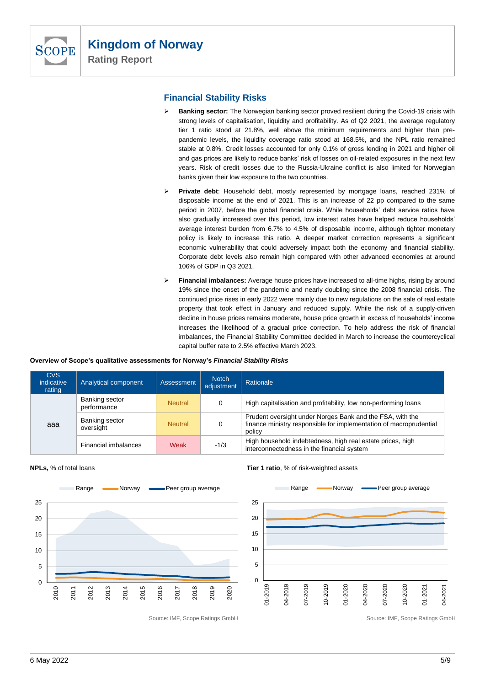

# **Financial Stability Risks**

- ➢ **Banking sector:** The Norwegian banking sector proved resilient during the Covid-19 crisis with strong levels of capitalisation, liquidity and profitability. As of Q2 2021, the average regulatory tier 1 ratio stood at 21.8%, well above the minimum requirements and higher than prepandemic levels, the liquidity coverage ratio stood at 168.5%, and the NPL ratio remained stable at 0.8%. Credit losses accounted for only 0.1% of gross lending in 2021 and higher oil and gas prices are likely to reduce banks' risk of losses on oil-related exposures in the next few years. Risk of credit losses due to the Russia-Ukraine conflict is also limited for Norwegian banks given their low exposure to the two countries.
- ➢ **Private debt**: Household debt, mostly represented by mortgage loans, reached 231% of disposable income at the end of 2021. This is an increase of 22 pp compared to the same period in 2007, before the global financial crisis. While households' debt service ratios have also gradually increased over this period, low interest rates have helped reduce households' average interest burden from 6.7% to 4.5% of disposable income, although tighter monetary policy is likely to increase this ratio. A deeper market correction represents a significant economic vulnerability that could adversely impact both the economy and financial stability. Corporate debt levels also remain high compared with other advanced economies at around 106% of GDP in Q3 2021.
- ➢ **Financial imbalances:** Average house prices have increased to all-time highs, rising by around 19% since the onset of the pandemic and nearly doubling since the 2008 financial crisis. The continued price rises in early 2022 were mainly due to new regulations on the sale of real estate property that took effect in January and reduced supply. While the risk of a supply-driven decline in house prices remains moderate, house price growth in excess of households' income increases the likelihood of a gradual price correction. To help address the risk of financial imbalances, the Financial Stability Committee decided in March to increase the countercyclical capital buffer rate to 2.5% effective March 2023.

#### **Overview of Scope's qualitative assessments for Norway's** *Financial Stability Risks*

| <b>CVS</b><br>indicative<br>rating | Analytical component          | Assessment     | <b>Notch</b><br>adjustment | Rationale                                                                                                                                 |
|------------------------------------|-------------------------------|----------------|----------------------------|-------------------------------------------------------------------------------------------------------------------------------------------|
| aaa                                | Banking sector<br>performance | <b>Neutral</b> | 0                          | High capitalisation and profitability, low non-performing loans                                                                           |
|                                    | Banking sector<br>oversight   | <b>Neutral</b> | 0                          | Prudent oversight under Norges Bank and the FSA, with the<br>finance ministry responsible for implementation of macroprudential<br>policy |
|                                    | <b>Financial imbalances</b>   | Weak           | $-1/3$                     | High household indebtedness, high real estate prices, high<br>interconnectedness in the financial system                                  |





**NPLs,** % of total loans **Tier 1 ratio**, % of risk-weighted assets



Source: IMF, Scope Ratings GmbH Source: IMF, Scope Ratings GmbH Source: IMF, Scope Ratings GmbH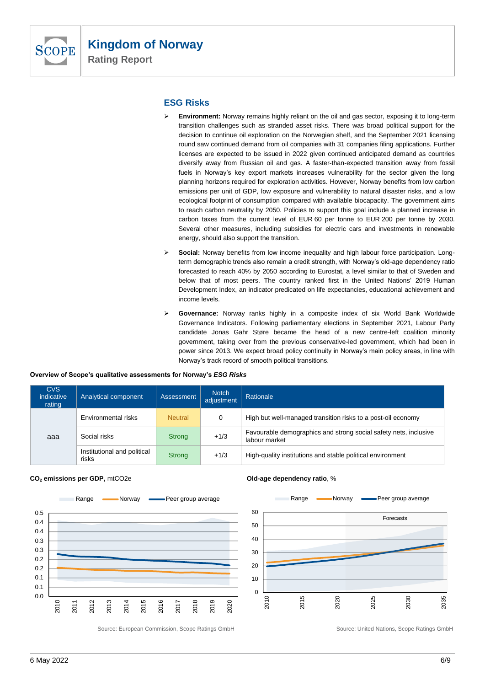

# **ESG Risks**

- ➢ **Environment:** Norway remains highly reliant on the oil and gas sector, exposing it to long-term transition challenges such as stranded asset risks. There was broad political support for the decision to continue oil exploration on the Norwegian shelf, and the September 2021 licensing round saw continued demand from oil companies with 31 companies filing applications. Further licenses are expected to be issued in 2022 given continued anticipated demand as countries diversify away from Russian oil and gas. A faster-than-expected transition away from fossil fuels in Norway's key export markets increases vulnerability for the sector given the long planning horizons required for exploration activities. However, Norway benefits from low carbon emissions per unit of GDP, low exposure and vulnerability to natural disaster risks, and a low ecological footprint of consumption compared with available biocapacity. The government aims to reach carbon neutrality by 2050. Policies to support this goal include a planned increase in carbon taxes from the current level of EUR 60 per tonne to EUR 200 per tonne by 2030. Several other measures, including subsidies for electric cars and investments in renewable energy, should also support the transition.
- ➢ **Social:** Norway benefits from low income inequality and high labour force participation. Longterm demographic trends also remain a credit strength, with Norway's old-age dependency ratio forecasted to reach 40% by 2050 according to Eurostat, a level similar to that of Sweden and below that of most peers. The country ranked first in the United Nations' 2019 Human Development Index, an indicator predicated on life expectancies, educational achievement and income levels.
- ➢ **Governance:** Norway ranks highly in a composite index of six World Bank Worldwide Governance Indicators. Following parliamentary elections in September 2021, Labour Party candidate Jonas Gahr Støre became the head of a new centre-left coalition minority government, taking over from the previous conservative-led government, which had been in power since 2013. We expect broad policy continuity in Norway's main policy areas, in line with Norway's track record of smooth political transitions.

#### **Overview of Scope's qualitative assessments for Norway's** *ESG Risks*

| <b>CVS</b><br>indicative<br>rating | Analytical component                 | <b>Assessment</b> | <b>Notch</b><br>adiustment | Rationale                                                                         |
|------------------------------------|--------------------------------------|-------------------|----------------------------|-----------------------------------------------------------------------------------|
| aaa                                | Environmental risks                  | <b>Neutral</b>    | 0                          | High but well-managed transition risks to a post-oil economy                      |
|                                    | Social risks                         | Strong            | $+1/3$                     | Favourable demographics and strong social safety nets, inclusive<br>labour market |
|                                    | Institutional and political<br>risks | Strong            | $+1/3$                     | High-quality institutions and stable political environment                        |







Source: European Commission, Scope Ratings GmbH Source: United Nations, Scope Ratings GmbH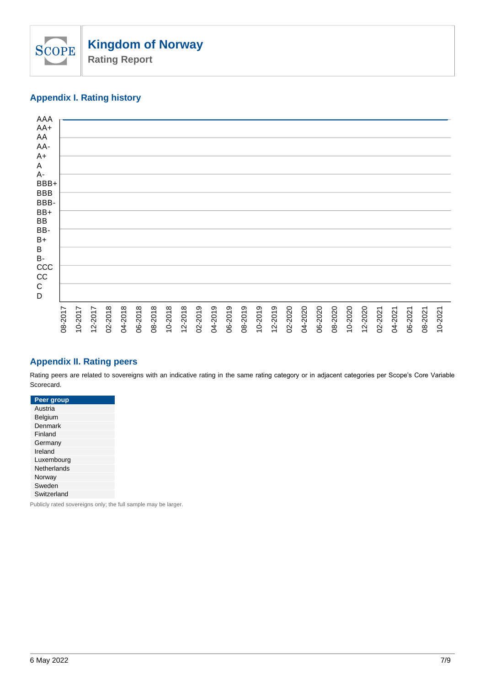

# **Appendix I. Rating history**



# **Appendix II. Rating peers**

Rating peers are related to sovereigns with an indicative rating in the same rating category or in adjacent categories per Scope's Core Variable Scorecard.

**Peer group** Austria Belgium **Denmark** Finland Germany Ireland Luxembourg **Netherlands** Norway **Sweden** Switzerland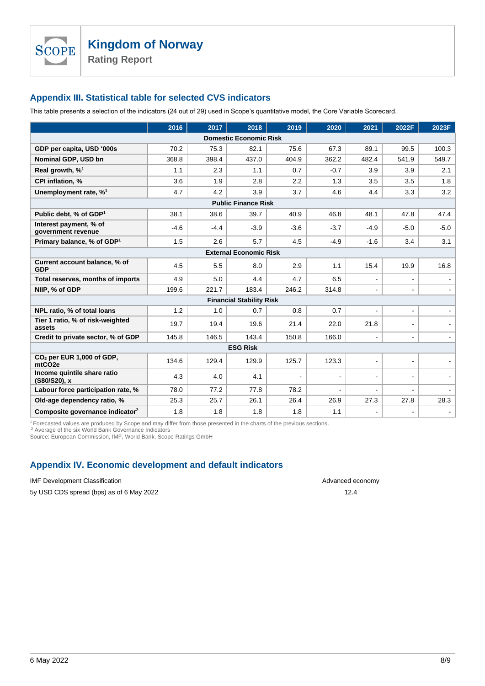**SCOPE** 

# **Appendix III. Statistical table for selected CVS indicators**

This table presents a selection of the indicators (24 out of 29) used in Scope's quantitative model, the Core Variable Scorecard.

|                                                             | 2016   | 2017   | 2018                            | 2019   | 2020           | 2021                     | 2022F          | 2023F                    |  |
|-------------------------------------------------------------|--------|--------|---------------------------------|--------|----------------|--------------------------|----------------|--------------------------|--|
| <b>Domestic Economic Risk</b>                               |        |        |                                 |        |                |                          |                |                          |  |
| GDP per capita, USD '000s                                   | 70.2   | 75.3   | 82.1                            | 75.6   | 67.3           | 89.1                     | 99.5           | 100.3                    |  |
| Nominal GDP, USD bn                                         | 368.8  | 398.4  | 437.0                           | 404.9  | 362.2          | 482.4                    | 541.9          | 549.7                    |  |
| Real growth, $\%^1$                                         | 1.1    | 2.3    | 1.1                             | 0.7    | $-0.7$         | 3.9                      | 3.9            | 2.1                      |  |
| <b>CPI inflation. %</b>                                     | 3.6    | 1.9    | 2.8                             | 2.2    | 1.3            | 3.5                      | 3.5            | 1.8                      |  |
| Unemployment rate, % <sup>1</sup>                           | 4.7    | 4.2    | 3.9                             | 3.7    | 4.6            | 4.4                      | 3.3            | 3.2                      |  |
|                                                             |        |        | <b>Public Finance Risk</b>      |        |                |                          |                |                          |  |
| Public debt, % of GDP <sup>1</sup>                          | 38.1   | 38.6   | 39.7                            | 40.9   | 46.8           | 48.1                     | 47.8           | 47.4                     |  |
| Interest payment, % of<br>government revenue                | $-4.6$ | $-4.4$ | $-3.9$                          | $-3.6$ | $-3.7$         | $-4.9$                   | $-5.0$         | $-5.0$                   |  |
| Primary balance, % of GDP <sup>1</sup>                      | 1.5    | 2.6    | 5.7                             | 4.5    | $-4.9$         | $-1.6$                   | 3.4            | 3.1                      |  |
|                                                             |        |        | <b>External Economic Risk</b>   |        |                |                          |                |                          |  |
| Current account balance, % of<br><b>GDP</b>                 | 4.5    | 5.5    | 8.0                             | 2.9    | 1.1            | 15.4                     | 19.9           | 16.8                     |  |
| Total reserves, months of imports                           | 4.9    | 5.0    | 4.4                             | 4.7    | 6.5            | $\blacksquare$           | $\blacksquare$ |                          |  |
| NIIP, % of GDP                                              | 199.6  | 221.7  | 183.4                           | 246.2  | 314.8          |                          |                |                          |  |
|                                                             |        |        | <b>Financial Stability Risk</b> |        |                |                          |                |                          |  |
| NPL ratio, % of total loans                                 | 1.2    | 1.0    | 0.7                             | 0.8    | 0.7            | $\overline{\phantom{a}}$ | $\blacksquare$ | $\overline{\phantom{a}}$ |  |
| Tier 1 ratio, % of risk-weighted<br>assets                  | 19.7   | 19.4   | 19.6                            | 21.4   | 22.0           | 21.8                     |                |                          |  |
| Credit to private sector, % of GDP                          | 145.8  | 146.5  | 143.4                           | 150.8  | 166.0          |                          | $\sim$         |                          |  |
|                                                             |        |        | <b>ESG Risk</b>                 |        |                |                          |                |                          |  |
| CO <sub>2</sub> per EUR 1,000 of GDP,<br>mtCO <sub>2e</sub> | 134.6  | 129.4  | 129.9                           | 125.7  | 123.3          | $\blacksquare$           |                |                          |  |
| Income quintile share ratio<br>(S80/S20), x                 | 4.3    | 4.0    | 4.1                             |        | $\blacksquare$ | $\blacksquare$           |                |                          |  |
| Labour force participation rate, %                          | 78.0   | 77.2   | 77.8                            | 78.2   | $\blacksquare$ | $\blacksquare$           | $\blacksquare$ |                          |  |
| Old-age dependency ratio, %                                 | 25.3   | 25.7   | 26.1                            | 26.4   | 26.9           | 27.3                     | 27.8           | 28.3                     |  |
| Composite governance indicator <sup>2</sup>                 | 1.8    | 1.8    | 1.8                             | 1.8    | 1.1            |                          |                |                          |  |

<sup>1</sup> Forecasted values are produced by Scope and may differ from those presented in the charts of the previous sections.

<sup>2</sup> Average of the six World Bank Governance Indicators Source: European Commission, IMF, World Bank, Scope Ratings GmbH

# **Appendix IV. Economic development and default indicators**

IMF Development Classification and the state of the state of the state of the state of the Advanced economy

5y USD CDS spread (bps) as of 6 May 2022 12.4